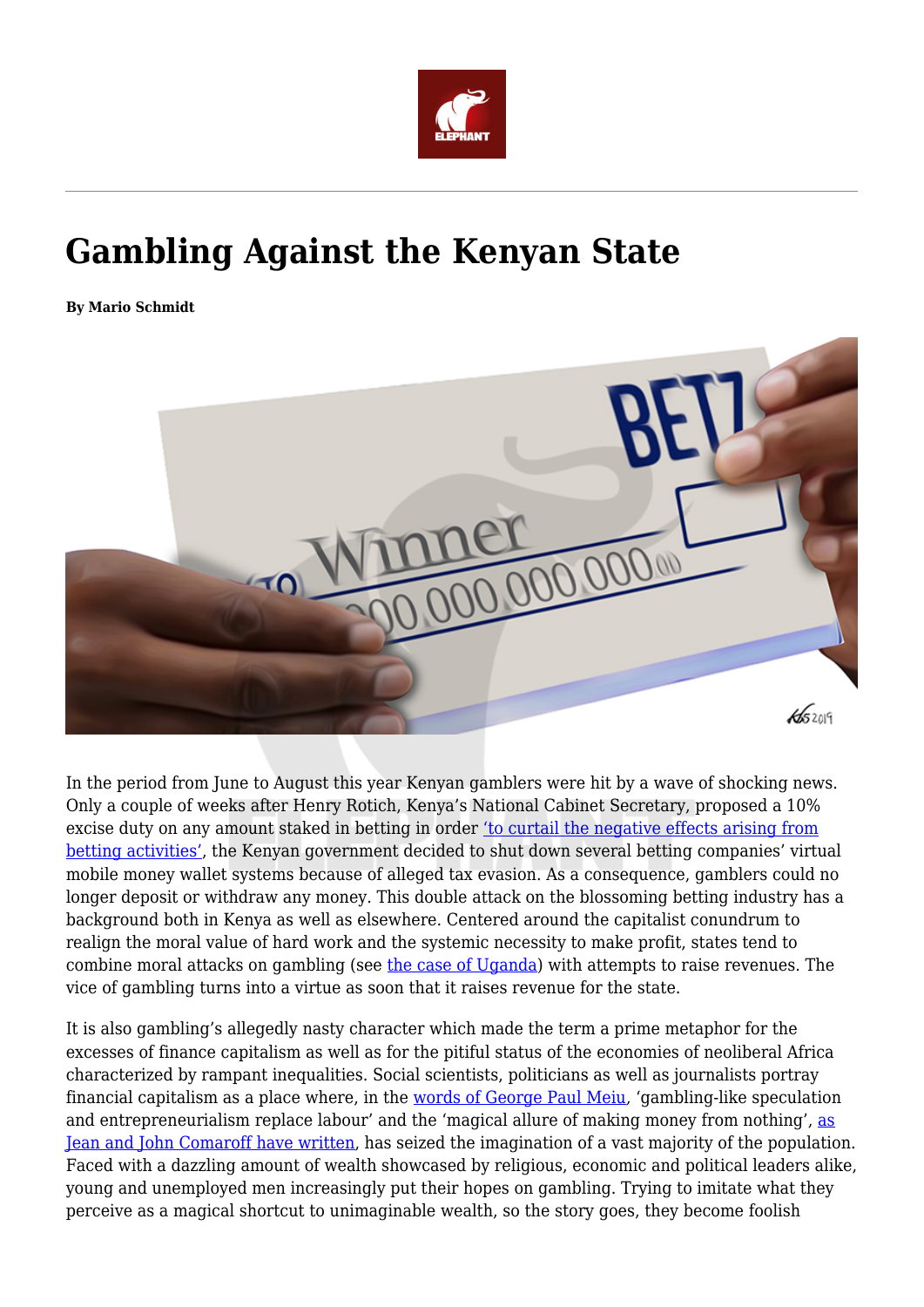

## **Gambling Against the Kenyan State**

**By Mario Schmidt**



In the period from June to August this year Kenyan gamblers were hit by a wave of shocking news. Only a couple of weeks after Henry Rotich, Kenya's National Cabinet Secretary, proposed a 10% excise duty on any amount staked in betting in order ['to curtail the negative effects arising from](https://www.standardmedia.co.ke/article/2001329853/this-is-how-you-are-going-to-be-taxed-when-placing-bets.) [betting activities'](https://www.standardmedia.co.ke/article/2001329853/this-is-how-you-are-going-to-be-taxed-when-placing-bets.), the Kenyan government decided to shut down several betting companies' virtual mobile money wallet systems because of alleged tax evasion. As a consequence, gamblers could no longer deposit or withdraw any money. This double attack on the blossoming betting industry has a background both in Kenya as well as elsewhere. Centered around the capitalist conundrum to realign the moral value of hard work and the systemic necessity to make profit, states tend to combine moral attacks on gambling (see [the case of Uganda](https://www.theeastafrican.co.ke/business/Uganda-bans-sports-betting/2560-4944254-w4qgsg/index.html)) with attempts to raise revenues. The vice of gambling turns into a virtue as soon that it raises revenue for the state.

It is also gambling's allegedly nasty character which made the term a prime metaphor for the excesses of finance capitalism as well as for the pitiful status of the economies of neoliberal Africa characterized by rampant inequalities. Social scientists, politicians as well as journalists portray financial capitalism as a place where, in the [words of George Paul Meiu](https://www.press.uchicago.edu/ucp/books/book/chicago/E/bo26850213.html)*,* 'gambling-like speculation and entrepreneurialism replace labour' and the 'magical allure of making money from nothing', [as](https://anthrosource.onlinelibrary.wiley.com/doi/10.1525/ae.1999.26.2.279) [Jean and John Comaroff have written,](https://anthrosource.onlinelibrary.wiley.com/doi/10.1525/ae.1999.26.2.279) has seized the imagination of a vast majority of the population. Faced with a dazzling amount of wealth showcased by religious, economic and political leaders alike, young and unemployed men increasingly put their hopes on gambling. Trying to imitate what they perceive as a magical shortcut to unimaginable wealth, so the story goes, they become foolish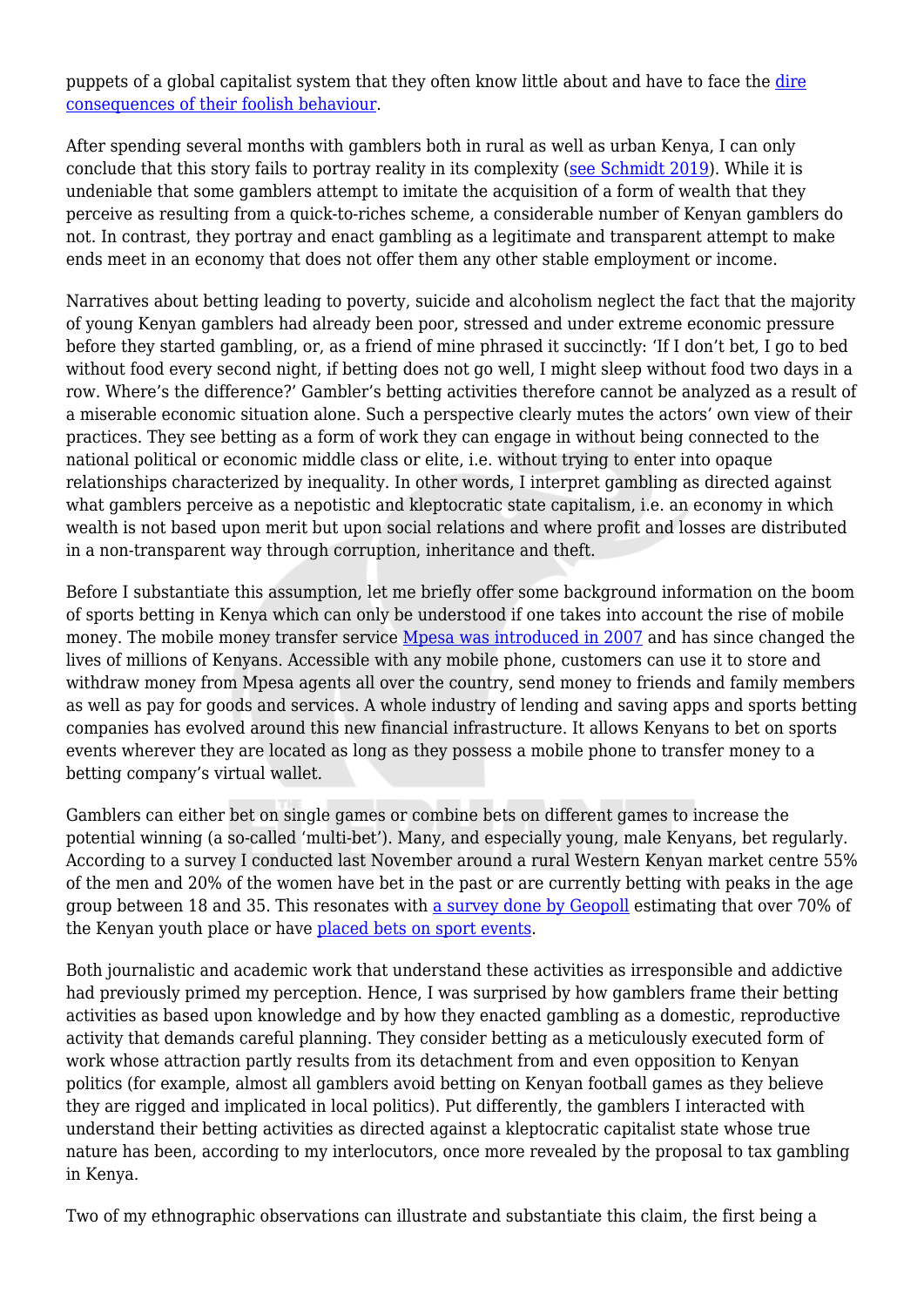puppets of a global capitalist system that they often know little about and have to face the [dire](https://www.theelephant.info/features/2018/02/16/betting-their-lives-away-how-online-gambling-is-ruining-kenyan-youth/) [consequences of their foolish behaviour.](https://www.theelephant.info/features/2018/02/16/betting-their-lives-away-how-online-gambling-is-ruining-kenyan-youth/)

After spending several months with gamblers both in rural as well as urban Kenya, I can only conclude that this story fails to portray reality in its complexity [\(see Schmidt 2019\)](https://www.tandfonline.com/doi/full/10.1080/17531055.2019.1635818?af=R). While it is undeniable that some gamblers attempt to imitate the acquisition of a form of wealth that they perceive as resulting from a quick-to-riches scheme, a considerable number of Kenyan gamblers do not. In contrast, they portray and enact gambling as a legitimate and transparent attempt to make ends meet in an economy that does not offer them any other stable employment or income.

Narratives about betting leading to poverty, suicide and alcoholism neglect the fact that the majority of young Kenyan gamblers had already been poor, stressed and under extreme economic pressure before they started gambling, or, as a friend of mine phrased it succinctly: 'If I don't bet, I go to bed without food every second night, if betting does not go well. I might sleep without food two days in a row. Where's the difference?' Gambler's betting activities therefore cannot be analyzed as a result of a miserable economic situation alone. Such a perspective clearly mutes the actors' own view of their practices. They see betting as a form of work they can engage in without being connected to the national political or economic middle class or elite, i.e. without trying to enter into opaque relationships characterized by inequality. In other words, I interpret gambling as directed against what gamblers perceive as a nepotistic and kleptocratic state capitalism, i.e. an economy in which wealth is not based upon merit but upon social relations and where profit and losses are distributed in a non-transparent way through corruption, inheritance and theft.

Before I substantiate this assumption, let me briefly offer some background information on the boom of sports betting in Kenya which can only be understood if one takes into account the rise of mobile money. The mobile money transfer service [Mpesa was introduced in 2007](http://roape.net/2019/06/11/another-false-messiah-the-rise-and-rise-of-fin-tech-in-africa/) and has since changed the lives of millions of Kenyans. Accessible with any mobile phone, customers can use it to store and withdraw money from Mpesa agents all over the country, send money to friends and family members as well as pay for goods and services. A whole industry of lending and saving apps and sports betting companies has evolved around this new financial infrastructure. It allows Kenyans to bet on sports events wherever they are located as long as they possess a mobile phone to transfer money to a betting company's virtual wallet.

Gamblers can either bet on single games or combine bets on different games to increase the potential winning (a so-called 'multi-bet'). Many, and especially young, male Kenyans, bet regularly. According to a survey I conducted last November around a rural Western Kenyan market centre 55% of the men and 20% of the women have bet in the past or are currently betting with peaks in the age group between 18 and 35. This resonates with [a survey done by Geopoll](https://www.geopoll.com/blog/mobile-gambling-among-youth-in-sub-saharan-africa/) estimating that over 70% of the Kenyan youth place or have [placed bets on sport events.](https://www.theelephant.info/features/2019/07/19/sportpesa-its-time-for-this-kleptocracy-to-end-kenyas-billion-dollar-sport-betting-curse/)

Both journalistic and academic work that understand these activities as irresponsible and addictive had previously primed my perception. Hence, I was surprised by how gamblers frame their betting activities as based upon knowledge and by how they enacted gambling as a domestic, reproductive activity that demands careful planning. They consider betting as a meticulously executed form of work whose attraction partly results from its detachment from and even opposition to Kenyan politics (for example, almost all gamblers avoid betting on Kenyan football games as they believe they are rigged and implicated in local politics). Put differently, the gamblers I interacted with understand their betting activities as directed against a kleptocratic capitalist state whose true nature has been, according to my interlocutors, once more revealed by the proposal to tax gambling in Kenya.

Two of my ethnographic observations can illustrate and substantiate this claim, the first being a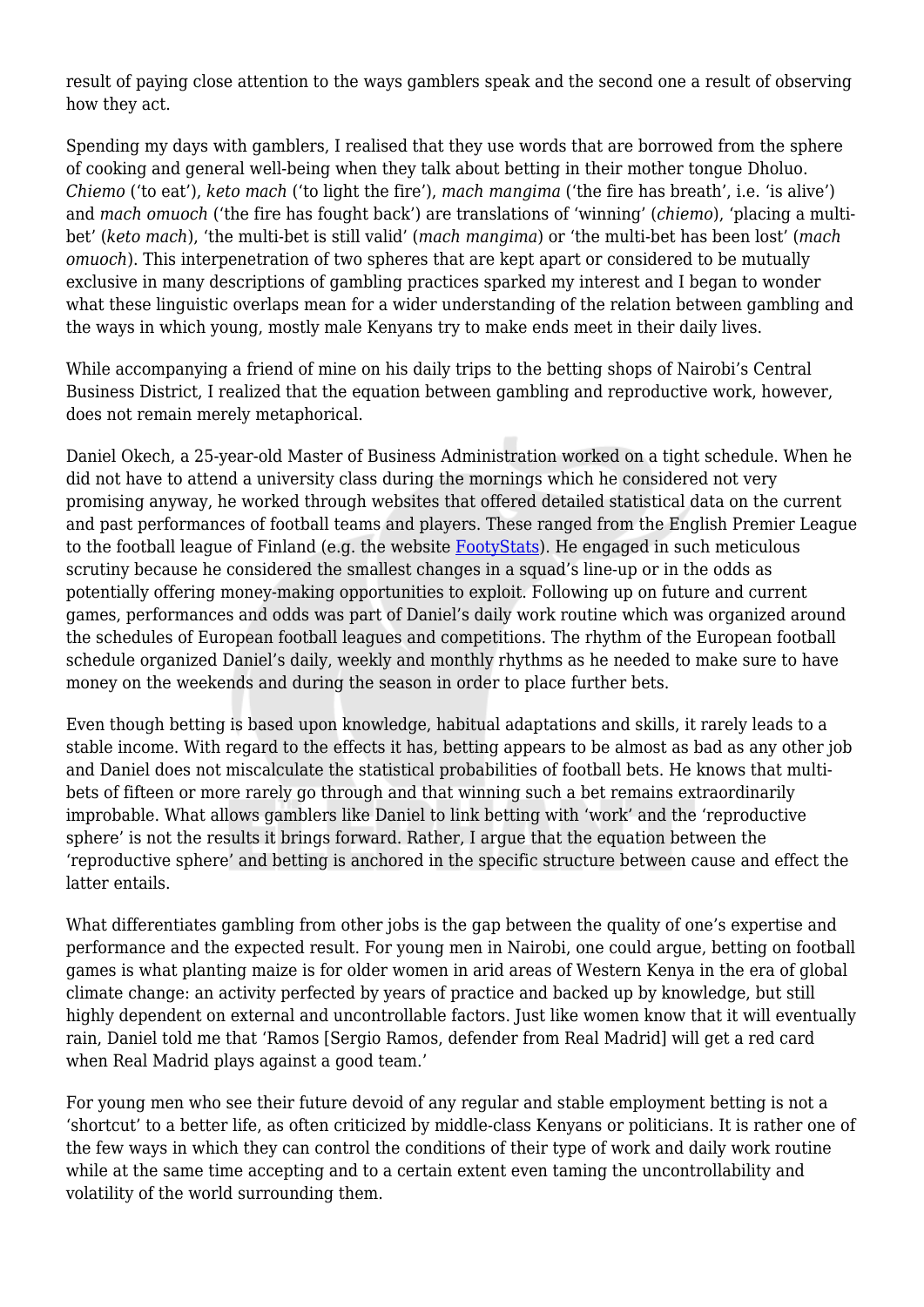result of paying close attention to the ways gamblers speak and the second one a result of observing how they act.

Spending my days with gamblers, I realised that they use words that are borrowed from the sphere of cooking and general well-being when they talk about betting in their mother tongue Dholuo. *Chiemo* ('to eat'), *keto mach* ('to light the fire'), *mach mangima* ('the fire has breath', i.e. 'is alive') and *mach omuoch* ('the fire has fought back') are translations of 'winning' (*chiemo*), 'placing a multibet' (*keto mach*), 'the multi-bet is still valid' (*mach mangima*) or 'the multi-bet has been lost' (*mach omuoch*). This interpenetration of two spheres that are kept apart or considered to be mutually exclusive in many descriptions of gambling practices sparked my interest and I began to wonder what these linguistic overlaps mean for a wider understanding of the relation between gambling and the ways in which young, mostly male Kenyans try to make ends meet in their daily lives.

While accompanying a friend of mine on his daily trips to the betting shops of Nairobi's Central Business District, I realized that the equation between gambling and reproductive work, however, does not remain merely metaphorical.

Daniel Okech, a 25-year-old Master of Business Administration worked on a tight schedule. When he did not have to attend a university class during the mornings which he considered not very promising anyway, he worked through websites that offered detailed statistical data on the current and past performances of football teams and players. These ranged from the English Premier League to the football league of Finland (e.g. the website [FootyStats\)](https://footystats.org). He engaged in such meticulous scrutiny because he considered the smallest changes in a squad's line-up or in the odds as potentially offering money-making opportunities to exploit. Following up on future and current games, performances and odds was part of Daniel's daily work routine which was organized around the schedules of European football leagues and competitions. The rhythm of the European football schedule organized Daniel's daily, weekly and monthly rhythms as he needed to make sure to have money on the weekends and during the season in order to place further bets.

Even though betting is based upon knowledge, habitual adaptations and skills, it rarely leads to a stable income. With regard to the effects it has, betting appears to be almost as bad as any other job and Daniel does not miscalculate the statistical probabilities of football bets. He knows that multibets of fifteen or more rarely go through and that winning such a bet remains extraordinarily improbable. What allows gamblers like Daniel to link betting with 'work' and the 'reproductive sphere' is not the results it brings forward. Rather, I argue that the equation between the 'reproductive sphere' and betting is anchored in the specific structure between cause and effect the latter entails.

What differentiates gambling from other jobs is the gap between the quality of one's expertise and performance and the expected result. For young men in Nairobi, one could argue, betting on football games is what planting maize is for older women in arid areas of Western Kenya in the era of global climate change: an activity perfected by years of practice and backed up by knowledge, but still highly dependent on external and uncontrollable factors. Just like women know that it will eventually rain, Daniel told me that 'Ramos [Sergio Ramos, defender from Real Madrid] will get a red card when Real Madrid plays against a good team.'

For young men who see their future devoid of any regular and stable employment betting is not a 'shortcut' to a better life, as often criticized by middle-class Kenyans or politicians. It is rather one of the few ways in which they can control the conditions of their type of work and daily work routine while at the same time accepting and to a certain extent even taming the uncontrollability and volatility of the world surrounding them.